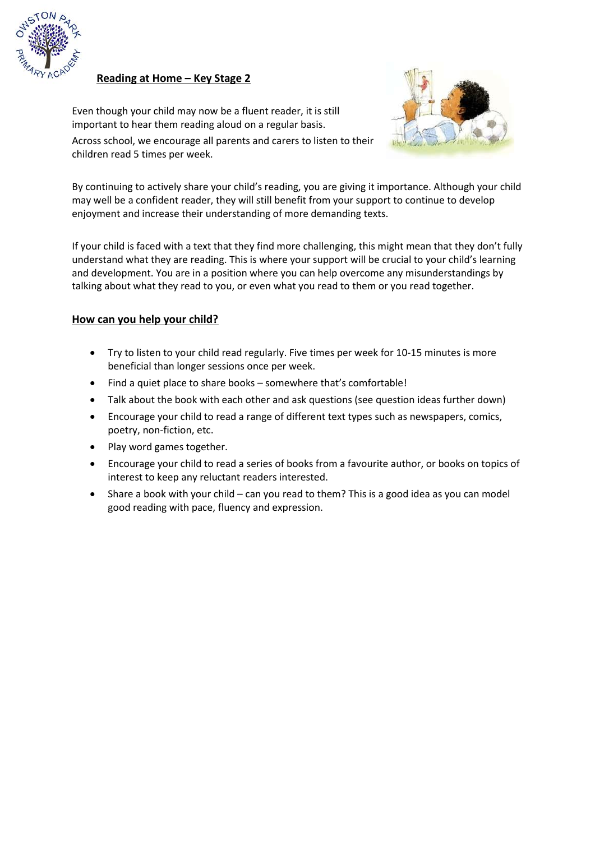

**Reading at Home – Key Stage 2**

Even though your child may now be a fluent reader, it is still important to hear them reading aloud on a regular basis.



Across school, we encourage all parents and carers to listen to their children read 5 times per week.

By continuing to actively share your child's reading, you are giving it importance. Although your child may well be a confident reader, they will still benefit from your support to continue to develop enjoyment and increase their understanding of more demanding texts.

If your child is faced with a text that they find more challenging, this might mean that they don't fully understand what they are reading. This is where your support will be crucial to your child's learning and development. You are in a position where you can help overcome any misunderstandings by talking about what they read to you, or even what you read to them or you read together.

## **How can you help your child?**

- Try to listen to your child read regularly. Five times per week for 10-15 minutes is more beneficial than longer sessions once per week.
- Find a quiet place to share books somewhere that's comfortable!
- Talk about the book with each other and ask questions (see question ideas further down)
- Encourage your child to read a range of different text types such as newspapers, comics, poetry, non-fiction, etc.
- Play word games together.
- Encourage your child to read a series of books from a favourite author, or books on topics of interest to keep any reluctant readers interested.
- Share a book with your child can you read to them? This is a good idea as you can model good reading with pace, fluency and expression.